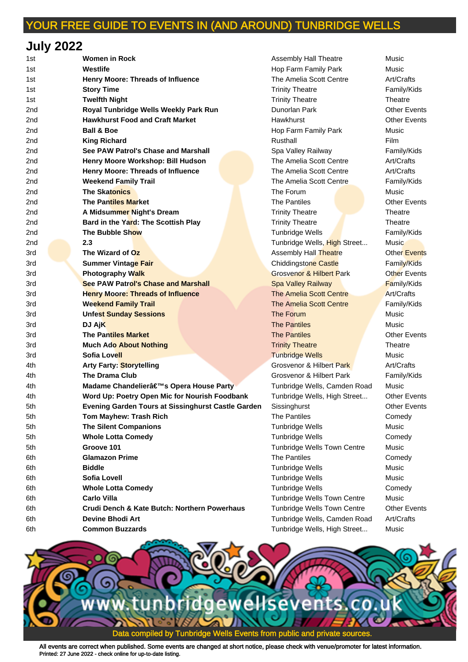## **July 2022**

| 1st | <b>Women in Rock</b>                                      | Assembly Hall Theatre               | Music               |
|-----|-----------------------------------------------------------|-------------------------------------|---------------------|
| 1st | Westlife                                                  | Hop Farm Family Park                | Music               |
| 1st | Henry Moore: Threads of Influence                         | The Amelia Scott Centre             | Art/Crafts          |
| 1st | <b>Story Time</b>                                         | <b>Trinity Theatre</b>              | Family/Kids         |
| 1st | <b>Twelfth Night</b>                                      | <b>Trinity Theatre</b>              | Theatre             |
| 2nd | Royal Tunbridge Wells Weekly Park Run                     | Dunorlan Park                       | <b>Other Events</b> |
| 2nd | <b>Hawkhurst Food and Craft Market</b>                    | Hawkhurst                           | <b>Other Events</b> |
| 2nd | <b>Ball &amp; Boe</b>                                     | Hop Farm Family Park                | Music               |
| 2nd | <b>King Richard</b>                                       | Rusthall                            | Film                |
| 2nd | See PAW Patrol's Chase and Marshall                       | Spa Valley Railway                  | Family/Kids         |
| 2nd | Henry Moore Workshop: Bill Hudson                         | The Amelia Scott Centre             | Art/Crafts          |
| 2nd | Henry Moore: Threads of Influence                         | The Amelia Scott Centre             | Art/Crafts          |
| 2nd | <b>Weekend Family Trail</b>                               | The Amelia Scott Centre             | Family/Kids         |
| 2nd | <b>The Skatonics</b>                                      | The Forum                           | Music               |
| 2nd | <b>The Pantiles Market</b>                                | <b>The Pantiles</b>                 | <b>Other Events</b> |
| 2nd | A Midsummer Night's Dream                                 | <b>Trinity Theatre</b>              | Theatre             |
| 2nd | Bard in the Yard: The Scottish Play                       | <b>Trinity Theatre</b>              | Theatre             |
| 2nd | The Bubble Show                                           | Tunbridge Wells                     | Family/Kids         |
| 2nd | 2.3                                                       | Tunbridge Wells, High Street        | <b>Music</b>        |
| 3rd | The Wizard of Oz                                          | Assembly Hall Theatre               | <b>Other Events</b> |
| 3rd | <b>Summer Vintage Fair</b>                                | <b>Chiddingstone Castle</b>         | Family/Kids         |
| 3rd | Photography Walk                                          | <b>Grosvenor &amp; Hilbert Park</b> | <b>Other Events</b> |
| 3rd | <b>See PAW Patrol's Chase and Marshall</b>                | <b>Spa Valley Railway</b>           | <b>Family/Kids</b>  |
| 3rd | <b>Henry Moore: Threads of Influence</b>                  | The Amelia Scott Centre             | Art/Crafts          |
| 3rd | <b>Weekend Family Trail</b>                               | The Amelia Scott Centre             | Family/Kids         |
| 3rd | <b>Unfest Sunday Sessions</b>                             | The Forum                           | Music               |
| 3rd | DJ AjK                                                    | <b>The Pantiles</b>                 | Music               |
| 3rd | <b>The Pantiles Market</b>                                | <b>The Pantiles</b>                 | <b>Other Events</b> |
| 3rd | <b>Much Ado About Nothing</b>                             | <b>Trinity Theatre</b>              | Theatre             |
| 3rd | <b>Sofia Lovell</b>                                       | <b>Tunbridge Wells</b>              | Music               |
| 4th | Arty Farty: Storytelling                                  | <b>Grosvenor &amp; Hilbert Park</b> | Art/Crafts          |
| 4th | <b>The Drama Club</b>                                     | Grosvenor & Hilbert Park            | Family/Kids         |
| 4th | Madame Chandelier's Opera House Party                     | Tunbridge Wells, Camden Road        | Music               |
| 4th | Word Up: Poetry Open Mic for Nourish Foodbank             | Tunbridge Wells, High Street        | <b>Other Events</b> |
| 5th | <b>Evening Garden Tours at Sissinghurst Castle Garden</b> | Sissinghurst                        | <b>Other Events</b> |
| 5th | <b>Tom Mayhew: Trash Rich</b>                             | <b>The Pantiles</b>                 | Comedy              |
| 5th | <b>The Silent Companions</b>                              | <b>Tunbridge Wells</b>              | Music               |
| 5th | <b>Whole Lotta Comedy</b>                                 | Tunbridge Wells                     | Comedy              |
| 5th | Groove 101                                                | Tunbridge Wells Town Centre         | Music               |
| 6th | <b>Glamazon Prime</b>                                     | The Pantiles                        | Comedy              |
| 6th | <b>Biddle</b>                                             | <b>Tunbridge Wells</b>              | Music               |
| 6th | <b>Sofia Lovell</b>                                       | <b>Tunbridge Wells</b>              | Music               |
| 6th | <b>Whole Lotta Comedy</b>                                 | <b>Tunbridge Wells</b>              | Comedy              |
| 6th | <b>Carlo Villa</b>                                        | Tunbridge Wells Town Centre         | Music               |
| 6th | Crudi Dench & Kate Butch: Northern Powerhaus              | Tunbridge Wells Town Centre         | <b>Other Events</b> |
| 6th | <b>Devine Bhodi Art</b>                                   | Tunbridge Wells, Camden Road        | Art/Crafts          |
| 6th | <b>Common Buzzards</b>                                    | Tunbridge Wells, High Street        | Music               |
|     |                                                           |                                     |                     |

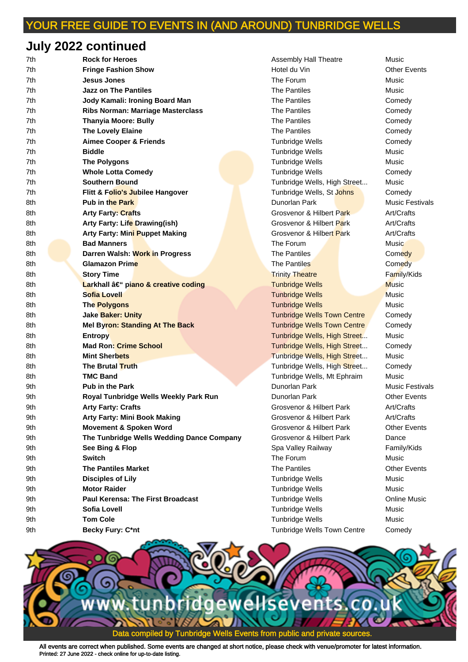# **July 2022 continued**

| 7th  | <b>Rock for Heroes</b>                    | <b>Assembly Hall Theatre</b>       | Music                  |
|------|-------------------------------------------|------------------------------------|------------------------|
| 7th  | <b>Fringe Fashion Show</b>                | Hotel du Vin                       | <b>Other Events</b>    |
| 7th  | Jesus Jones                               | The Forum                          | Music                  |
| 7th  | <b>Jazz on The Pantiles</b>               | The Pantiles                       | Music                  |
| 7th  | Jody Kamali: Ironing Board Man            | <b>The Pantiles</b>                | Comedy                 |
| 7th  | <b>Ribs Norman: Marriage Masterclass</b>  | <b>The Pantiles</b>                | Comedy                 |
| 7th  | <b>Thanyia Moore: Bully</b>               | The Pantiles                       | Comedy                 |
| 7th. | <b>The Lovely Elaine</b>                  | <b>The Pantiles</b>                | Comedy                 |
| 7th  | <b>Aimee Cooper &amp; Friends</b>         | <b>Tunbridge Wells</b>             | Comedy                 |
| 7th  | <b>Biddle</b>                             | <b>Tunbridge Wells</b>             | Music                  |
| 7th  | <b>The Polygons</b>                       | <b>Tunbridge Wells</b>             | Music                  |
| 7th  | <b>Whole Lotta Comedy</b>                 | <b>Tunbridge Wells</b>             | Comedy                 |
| 7th  | <b>Southern Bound</b>                     | Tunbridge Wells, High Street       | Music                  |
| 7th  | Flitt & Folio's Jubilee Hangover          | Tunbridge Wells, St Johns          | Comedy                 |
| 8th  | <b>Pub in the Park</b>                    | Dunorlan Park                      | <b>Music Festivals</b> |
| 8th  | <b>Arty Farty: Crafts</b>                 | Grosvenor & Hilbert Park           | Art/Crafts             |
| 8th  | Arty Farty: Life Drawing(ish)             | Grosvenor & Hilbert Park           | Art/Crafts             |
| 8th  | Arty Farty: Mini Puppet Making            | Grosvenor & Hilbert Park           | Art/Crafts             |
| 8th  | <b>Bad Manners</b>                        | The Forum                          | Music                  |
| 8th  | Darren Walsh: Work in Progress            | <b>The Pantiles</b>                | Comedy                 |
| 8th  | <b>Glamazon Prime</b>                     | The Pantiles                       | Comedy                 |
| 8th  | <b>Story Time</b>                         | <b>Trinity Theatre</b>             | Family/Kids            |
| 8th  | Larkhall – piano & creative coding        | <b>Tunbridge Wells</b>             | <b>Music</b>           |
| 8th  | <b>Sofia Lovell</b>                       | <b>Tunbridge Wells</b>             | <b>Music</b>           |
| 8th  | The Polygons                              | <b>Tunbridge Wells</b>             | Music                  |
| 8th  | <b>Jake Baker: Unity</b>                  | <b>Tunbridge Wells Town Centre</b> | Comedy                 |
| 8th  | Mel Byron: Standing At The Back           | <b>Tunbridge Wells Town Centre</b> | Comedy                 |
| 8th  | <b>Entropy</b>                            | Tunbridge Wells, High Street       | Music                  |
| 8th  | <b>Mad Ron: Crime School</b>              | Tunbridge Wells, High Street       | Comedy                 |
| 8th  | <b>Mint Sherbets</b>                      | Tunbridge Wells, High Street       | Music                  |
| 8th  | The Brutal Truth                          | Tunbridge Wells, High Street       | Comedy                 |
| 8th  | <b>TMC Band</b>                           | Tunbridge Wells, Mt Ephraim        | Music                  |
| 9th  | <b>Pub in the Park</b>                    | Dunorlan Park                      | <b>Music Festivals</b> |
| 9th  | Royal Tunbridge Wells Weekly Park Run     | Dunorlan Park                      | <b>Other Events</b>    |
| 9th  | <b>Arty Farty: Crafts</b>                 | Grosvenor & Hilbert Park           | Art/Crafts             |
| 9th  | <b>Arty Farty: Mini Book Making</b>       | Grosvenor & Hilbert Park           | Art/Crafts             |
| 9th  | <b>Movement &amp; Spoken Word</b>         | Grosvenor & Hilbert Park           | <b>Other Events</b>    |
| 9th  | The Tunbridge Wells Wedding Dance Company | Grosvenor & Hilbert Park           | Dance                  |
| 9th  | See Bing & Flop                           | Spa Valley Railway                 | Family/Kids            |
| 9th  | <b>Switch</b>                             | The Forum                          | Music                  |
| 9th  | <b>The Pantiles Market</b>                | The Pantiles                       | <b>Other Events</b>    |
| 9th  | <b>Disciples of Lily</b>                  | <b>Tunbridge Wells</b>             | Music                  |
| 9th  | <b>Motor Raider</b>                       | Tunbridge Wells                    | Music                  |
| 9th  | Paul Kerensa: The First Broadcast         | <b>Tunbridge Wells</b>             | <b>Online Music</b>    |
| 9th  | Sofia Lovell                              | <b>Tunbridge Wells</b>             | Music                  |
| 9th  | <b>Tom Cole</b>                           | <b>Tunbridge Wells</b>             | Music                  |
| 9th  | <b>Becky Fury: C*nt</b>                   | Tunbridge Wells Town Centre        | Comedy                 |

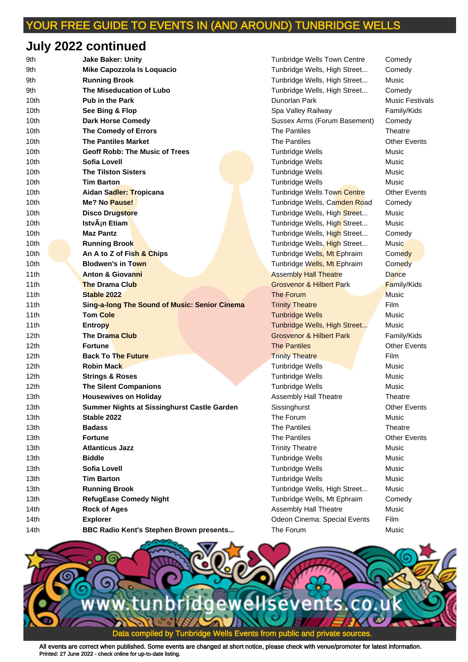## **July 2022 continued**

| 9th  | <b>Jake Baker: Unity</b>                             | <b>Tunbridge Wells Town Centre</b>  | Comedy              |
|------|------------------------------------------------------|-------------------------------------|---------------------|
| 9th  | Mike Capozzola Is Loquacio                           | Tunbridge Wells, High Street        | Comedy              |
| 9th  | <b>Running Brook</b>                                 | Tunbridge Wells, High Street        | Music               |
| 9th  | The Miseducation of Lubo                             | Tunbridge Wells, High Street        | Comedy              |
| 10th | <b>Pub in the Park</b>                               | Dunorlan Park                       | Music Festiva       |
| 10th | See Bing & Flop                                      | Spa Valley Railway                  | Family/Kids         |
| 10th | <b>Dark Horse Comedy</b>                             | Sussex Arms (Forum Basement)        | Comedy              |
| 10th | The Comedy of Errors                                 | <b>The Pantiles</b>                 | Theatre             |
| 10th | <b>The Pantiles Market</b>                           | <b>The Pantiles</b>                 | <b>Other Events</b> |
| 10th | <b>Geoff Robb: The Music of Trees</b>                | <b>Tunbridge Wells</b>              | Music               |
| 10th | <b>Sofia Lovell</b>                                  | Tunbridge Wells                     | Music               |
| 10th | <b>The Tilston Sisters</b>                           | <b>Tunbridge Wells</b>              | Music               |
| 10th | <b>Tim Barton</b>                                    | Tunbridge Wells                     | Music               |
| 10th | Aidan Sadler: Tropicana                              | Tunbridge Wells Town Centre         | <b>Other Events</b> |
| 10th | Me? No Pause!                                        | Tunbridge Wells, Camden Road        | Comedy              |
| 10th | <b>Disco Drugstore</b>                               | Tunbridge Wells, High Street        | Music               |
| 10th | IstvÂ <sub>i</sub> n Etiam                           | Tunbridge Wells, High Street        | Music               |
| 10th | <b>Maz Pantz</b>                                     | Tunbridge Wells, High Street        | Comedy              |
| 10th | <b>Running Brook</b>                                 | Tunbridge Wells, High Street        | Music               |
| 10th | An A to Z of Fish & Chips                            | Tunbridge Wells, Mt Ephraim         | Comedy              |
| 10th | <b>Blodwen's in Town</b>                             | Tunbridge Wells, Mt Ephraim         | Comedy              |
| 11th | <b>Anton &amp; Giovanni</b>                          | <b>Assembly Hall Theatre</b>        | Dance               |
| 11th | <b>The Drama Club</b>                                | <b>Grosvenor &amp; Hilbert Park</b> | <b>Family/Kids</b>  |
| 11th | Stable 2022                                          | The Forum                           | <b>Music</b>        |
| 11th | <b>Sing-a-long The Sound of Music: Senior Cinema</b> | <b>Trinity Theatre</b>              | <b>Film</b>         |
| 11th | <b>Tom Cole</b>                                      | <b>Tunbridge Wells</b>              | Music               |
| 11th | <b>Entropy</b>                                       | Tunbridge Wells, High Street        | Music               |
| 12th | <b>The Drama Club</b>                                | <b>Grosvenor &amp; Hilbert Park</b> | Family/Kids         |
| 12th | <b>Fortune</b>                                       | <b>The Pantiles</b>                 | <b>Other Events</b> |
| 12th | <b>Back To The Future</b>                            | <b>Trinity Theatre</b>              | Film                |
| 12th | <b>Robin Mack</b>                                    | Tunbridge Wells                     | Music               |
| 12th | <b>Strings &amp; Roses</b>                           | <b>Tunbridge Wells</b>              | Music               |
| 12th | <b>The Silent Companions</b>                         | <b>Tunbridge Wells</b>              | Music               |
| 13th | <b>Housewives on Holiday</b>                         | Assembly Hall Theatre               | Theatre             |
| 13th | Summer Nights at Sissinghurst Castle Garden          | Sissinghurst                        | <b>Other Events</b> |
| 13th | Stable 2022                                          | The Forum                           | Music               |
| 13th | <b>Badass</b>                                        | <b>The Pantiles</b>                 | Theatre             |
| 13th | <b>Fortune</b>                                       | The Pantiles                        | <b>Other Events</b> |
| 13th | <b>Atlanticus Jazz</b>                               | <b>Trinity Theatre</b>              | Music               |
| 13th | <b>Biddle</b>                                        | <b>Tunbridge Wells</b>              | Music               |
| 13th | <b>Sofia Lovell</b>                                  | <b>Tunbridge Wells</b>              | Music               |
| 13th | <b>Tim Barton</b>                                    | <b>Tunbridge Wells</b>              | Music               |
| 13th | <b>Running Brook</b>                                 | Tunbridge Wells, High Street        | Music               |
| 13th | <b>RefugEase Comedy Night</b>                        | Tunbridge Wells, Mt Ephraim         | Comedy              |
| 14th | <b>Rock of Ages</b>                                  | Assembly Hall Theatre               | Music               |
| 14th | <b>Explorer</b>                                      | Odeon Cinema: Special Events        | Film                |
| 14th | BBC Radio Kent's Stephen Brown presents              | The Forum                           | Music               |

9th **Jake Baker: Unity** Tunbridge Wells Town Centre Comedy Tunbridge Wells, High Street... Comedy Tunbridge Wells, High Street... Music Tunbridge Wells, High Street... Comedy **10th Pub in the Park Control Control Park Music Festivals** 10th **See Bing & Flop** Spa Valley Railway Family/Kids Sussex Arms (Forum Basement) Comedy 10th **Geoff Robb: The Music of Trees** Tunbridge Wells Music **10th Tunbridge Wells Music Tunbridge Wells Music 10th Tunbridge Wells Music** Tunbridge Wells Town Centre **Other Events** Tunbridge Wells, Camden Road Comedy Tunbridge Wells, High Street... Music Tunbridge Wells, High Street... Music Tunbridge Wells, High Street... Comedy Tunbridge Wells, High Street... Music Tunbridge Wells, Mt Ephraim Comedy Tunbridge Wells, Mt Ephraim Comedy **Assembly Hall Theatre Communist Connect Property Grosvenor & Hilbert Park Family/Kids** 11th **Sing-a-long The Sound of Music: Senior Cinema** Trinity Theatre Film 11th **Tom Cole** Tunbridge Wells Music **Tunbridge Wells, High Street... Music Grosvenor & Hilbert Park Family/Kids Trinity Theatre Trinity Theatre Film 12th Tunbridge Wells Music Music** 12th **Strings & Roses** Tunbridge Wells Music **12th Tunbridge Wells Music** Assembly Hall Theatre **Theatre 13th Sissinghurst Castle Garden** Sissinghurst Castle Garden Sissinghurst Other Events **13th Trinity Theatre Music 13th Tunbridge Wells Music Music 13th Tunbridge Wells** Music **13th Tunbridge Wells Music Music** Tunbridge Wells, High Street... Music Tunbridge Wells, Mt Ephraim Comedy 14th **Rock of Ages** Assembly Hall Theatre Music Odeon Cinema: Special Events Film

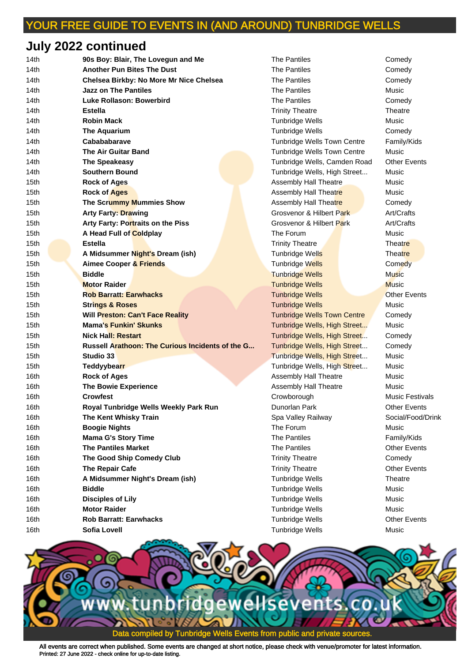## **July 2022 continued**

| 14th | 90s Boy: Blair, The Lovegun and Me               | The Pantiles                       | Comedy               |
|------|--------------------------------------------------|------------------------------------|----------------------|
| 14th | <b>Another Pun Bites The Dust</b>                | <b>The Pantiles</b>                | Comedy               |
| 14th | Chelsea Birkby: No More Mr Nice Chelsea          | <b>The Pantiles</b>                | Comedy               |
| 14th | Jazz on The Pantiles                             | <b>The Pantiles</b>                | Music                |
| 14th | Luke Rollason: Bowerbird                         | <b>The Pantiles</b>                | Comedy               |
| 14th | <b>Estella</b>                                   | <b>Trinity Theatre</b>             | Theatre              |
| 14th | <b>Robin Mack</b>                                | <b>Tunbridge Wells</b>             | Music                |
| 14th | <b>The Aquarium</b>                              | <b>Tunbridge Wells</b>             | Comedy               |
| 14th | Cabababarave                                     | <b>Tunbridge Wells Town Centre</b> | Family/Kids          |
| 14th | <b>The Air Guitar Band</b>                       | <b>Tunbridge Wells Town Centre</b> | Music                |
| 14th | The Speakeasy                                    | Tunbridge Wells, Camden Road       | <b>Other Events</b>  |
| 14th | <b>Southern Bound</b>                            | Tunbridge Wells, High Street       | Music                |
| 15th | <b>Rock of Ages</b>                              | <b>Assembly Hall Theatre</b>       | Music                |
| 15th | <b>Rock of Ages</b>                              | Assembly Hall Theatre              | Music                |
| 15th | The Scrummy Mummies Show                         | Assembly Hall Theatre              | Comedy               |
| 15th | <b>Arty Farty: Drawing</b>                       | Grosvenor & Hilbert Park           | Art/Crafts           |
| 15th | Arty Farty: Portraits on the Piss                | Grosvenor & Hilbert Park           | Art/Crafts           |
| 15th | A Head Full of Coldplay                          | The Forum                          | Music                |
| 15th | <b>Estella</b>                                   | <b>Trinity Theatre</b>             | Theatre              |
| 15th | A Midsummer Night's Dream (ish)                  | Tunbridge Wells                    | <b>Theatre</b>       |
| 15th | Aimee Cooper & Friends                           | Tunbridge Wells                    | Comedy               |
| 15th | <b>Biddle</b>                                    | <b>Tunbridge Wells</b>             | <b>Music</b>         |
| 15th | <b>Motor Raider</b>                              | <b>Tunbridge Wells</b>             | <b>Music</b>         |
| 15th | <b>Rob Barratt: Earwhacks</b>                    | <b>Tunbridge Wells</b>             | <b>Other Events</b>  |
| 15th | <b>Strings &amp; Roses</b>                       | <b>Tunbridge Wells</b>             | Music                |
| 15th | <b>Will Preston: Can't Face Reality</b>          | <b>Tunbridge Wells Town Centre</b> | Comedy               |
| 15th | <b>Mama's Funkin' Skunks</b>                     | Tunbridge Wells, High Street       | Music                |
| 15th | <b>Nick Hall: Restart</b>                        | Tunbridge Wells, High Street       | Comedy               |
| 15th | Russell Arathoon: The Curious Incidents of the G | Tunbridge Wells, High Street       | Comedy               |
| 15th | Studio 33                                        | Tunbridge Wells, High Street       | Music                |
| 15th | <b>Teddyybearr</b>                               | Tunbridge Wells, High Street       | Music                |
| 16th | <b>Rock of Ages</b>                              | Assembly Hall Theatre              | Music                |
| 16th | <b>The Bowie Experience</b>                      | Assembly Hall Theatre              | Music                |
| 16th | Crowfest                                         | Crowborough                        | <b>Music Festiva</b> |
| 16th | Royal Tunbridge Wells Weekly Park Run            | Dunorlan Park                      | <b>Other Events</b>  |
| 16th | The Kent Whisky Train                            | Spa Valley Railway                 | Social/Food/I        |
| 16th | <b>Boogie Nights</b>                             | The Forum                          | Music                |
| 16th | <b>Mama G's Story Time</b>                       | The Pantiles                       | Family/Kids          |
| 16th | <b>The Pantiles Market</b>                       | The Pantiles                       | <b>Other Events</b>  |
| 16th | The Good Ship Comedy Club                        | <b>Trinity Theatre</b>             | Comedy               |
| 16th | The Repair Cafe                                  | <b>Trinity Theatre</b>             | <b>Other Events</b>  |
| 16th | A Midsummer Night's Dream (ish)                  | <b>Tunbridge Wells</b>             | Theatre              |
| 16th | <b>Biddle</b>                                    | <b>Tunbridge Wells</b>             | Music                |
| 16th | <b>Disciples of Lily</b>                         | Tunbridge Wells                    | Music                |
| 16th | <b>Motor Raider</b>                              | <b>Tunbridge Wells</b>             | Music                |
| 16th | <b>Rob Barratt: Earwhacks</b>                    | <b>Tunbridge Wells</b>             | <b>Other Events</b>  |
| 16th | <b>Sofia Lovell</b>                              | <b>Tunbridge Wells</b>             | Music                |

14th **Jazz on The Pantiles** The Pantiles Music **Trinity Theatre Theatre Theatre 14th Tunbridge Wells Music Music 14th Tunbridge Wells Comedy** Tunbridge Wells Town Centre Family/Kids **Tunbridge Wells Town Centre Music** Tunbridge Wells, Camden Road Other Events Tunbridge Wells, High Street... Music 15th **Rock of Ages** Assembly Hall Theatre Music Assembly Hall Theatre **Music** Assembly Hall Theatre **Theatre Comedy** 15th **Arty Farty: Drawing** Grosvenor & Hilbert Park Art/Crafts 15th **Arty Farty: Portraits on the Piss** Grosvenor & Hilbert Park Art/Crafts **Trinity Theatre Theatre Theatre Tunbridge Wells Theatre 15th Tunbridge Wells Comedy Tunbridge Wells Music 15th Tunbridge Wells Music 15th Tunbridge Wells Community Community** Other Events **Tunbridge Wells Music Music Tunbridge Wells Town Centre Comedy Tunbridge Wells, High Street... Music** Tunbridge Wells, High Street... Comedy **3... Tunbridge Wells, High Street... Comedy.** Tunbridge Wells, High Street... Music Tunbridge Wells, High Street... Music 16th **Rock of Ages** Assembly Hall Theatre Music 16th **The Bowie Experience** Assembly Hall Theatre Music **Crowborough Music Festivals 16th Park Medicine Park Running Park Running Park Running Park Running Park Running Park Running Park Running Park Running Park Running Park Running Park Running Park Running Park Running Park Running Park Running Park Ru** 16th **The Kent Whisky Train** Spa Valley Railway Social/Food/Drink **16th Trinity Theatre Comedy Trinity Theatre Career Canadia Trinity Theatre Career Cafe** 16th **A Midsummer Night's Dream (ish)** Tunbridge Wells Theatre **16th Tunbridge Wells Music** 16th **Disciples of Lily** Tunbridge Wells Music **16th Tunbridge Wells Music** Tunbridge Wells **Communist Communist Communist Communist Communist Communist Communist Communist Communist Communist Communist Communist Communist Communist Communist Communist Communist Communist Communist Communist Commu 16th Tunbridge Wells** Music

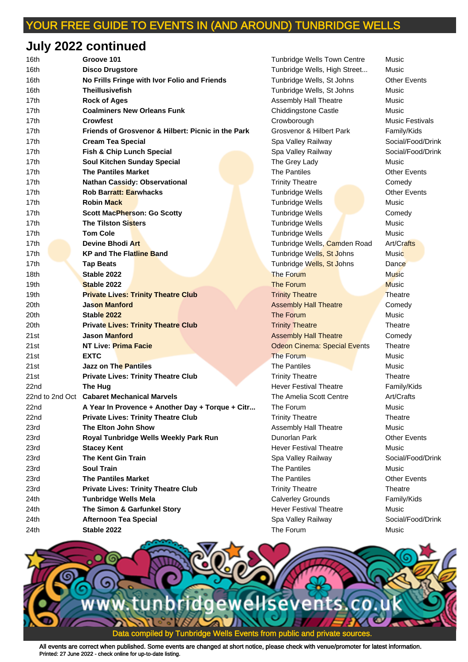# **July 2022 continued**

| 16th             | Groove 101                                         | <b>Tunbridge Wells Town Centre</b>  | Music                |
|------------------|----------------------------------------------------|-------------------------------------|----------------------|
| 16th             | <b>Disco Drugstore</b>                             | Tunbridge Wells, High Street        | Music                |
| 16th             | No Frills Fringe with Ivor Folio and Friends       | Tunbridge Wells, St Johns           | <b>Other Events</b>  |
| 16th             | <b>Theillusivefish</b>                             | Tunbridge Wells, St Johns           | Music                |
| 17th             | <b>Rock of Ages</b>                                | Assembly Hall Theatre               | Music                |
| 17th             | <b>Coalminers New Orleans Funk</b>                 | <b>Chiddingstone Castle</b>         | Music                |
| 17th             | Crowfest                                           | Crowborough                         | <b>Music Festiva</b> |
| 17th             | Friends of Grosvenor & Hilbert: Picnic in the Park | Grosvenor & Hilbert Park            | Family/Kids          |
| 17th             | <b>Cream Tea Special</b>                           | Spa Valley Railway                  | Social/Food/I        |
| 17th             | Fish & Chip Lunch Special                          | Spa Valley Railway                  | Social/Food/I        |
| 17th             | <b>Soul Kitchen Sunday Special</b>                 | The Grey Lady                       | Music                |
| 17th             | <b>The Pantiles Market</b>                         | <b>The Pantiles</b>                 | <b>Other Events</b>  |
| 17th             | <b>Nathan Cassidy: Observational</b>               | <b>Trinity Theatre</b>              | Comedy               |
| 17th             | <b>Rob Barratt: Earwhacks</b>                      | <b>Tunbridge Wells</b>              | <b>Other Events</b>  |
| 17th             | <b>Robin Mack</b>                                  | <b>Tunbridge Wells</b>              | Music                |
| 17th             | <b>Scott MacPherson: Go Scotty</b>                 | <b>Tunbridge Wells</b>              | Comedy               |
| 17th             | <b>The Tilston Sisters</b>                         | Tunbridge Wells                     | Music                |
| 17th             | <b>Tom Cole</b>                                    | <b>Tunbridge Wells</b>              | Music                |
| 17th             | <b>Devine Bhodi Art</b>                            | Tunbridge Wells, Camden Road        | Art/Crafts           |
| 17th             | <b>KP and The Flatline Band</b>                    | Tunbridge Wells, St Johns           | Music                |
| 17 <sub>th</sub> | <b>Tap Beats</b>                                   | Tunbridge Wells, St Johns           | Dance                |
| 18th             | Stable 2022                                        | The Forum                           | <b>Music</b>         |
| 19th             | Stable 2022                                        | The Forum                           | <b>Music</b>         |
| 19th             | <b>Private Lives: Trinity Theatre Club</b>         | <b>Trinity Theatre</b>              | Theatre              |
| 20th             | Jason Manford                                      | <b>Assembly Hall Theatre</b>        | Comedy               |
| 20th             | Stable 2022                                        | The Forum                           | Music                |
| 20th             | <b>Private Lives: Trinity Theatre Club</b>         | <b>Trinity Theatre</b>              | Theatre              |
| 21st             | Jason Manford                                      | <b>Assembly Hall Theatre</b>        | Comedy               |
| 21st             | NT Live: Prima Facie                               | <b>Odeon Cinema: Special Events</b> | Theatre              |
| 21st             | <b>EXTC</b>                                        | The Forum                           | Music                |
| 21st             | <b>Jazz on The Pantiles</b>                        | The Pantiles                        | Music                |
| 21st             | <b>Private Lives: Trinity Theatre Club</b>         | <b>Trinity Theatre</b>              | Theatre              |
| 22nd             | The Hug                                            | <b>Hever Festival Theatre</b>       | Family/Kids          |
|                  | 22nd to 2nd Oct Cabaret Mechanical Marvels         | The Amelia Scott Centre             | Art/Crafts           |
| 22nd             | A Year In Provence + Another Day + Torque + Citr   | The Forum                           | Music                |
| 22nd             | <b>Private Lives: Trinity Theatre Club</b>         | <b>Trinity Theatre</b>              | Theatre              |
| 23rd             | The Elton John Show                                | <b>Assembly Hall Theatre</b>        | Music                |
| 23rd             | Royal Tunbridge Wells Weekly Park Run              | Dunorlan Park                       | <b>Other Events</b>  |
| 23rd             | <b>Stacey Kent</b>                                 | <b>Hever Festival Theatre</b>       | Music                |
| 23rd             | <b>The Kent Gin Train</b>                          | Spa Valley Railway                  | Social/Food/I        |
| 23rd             | <b>Soul Train</b>                                  | The Pantiles                        | Music                |
| 23rd             | <b>The Pantiles Market</b>                         | The Pantiles                        | <b>Other Events</b>  |
| 23rd             | <b>Private Lives: Trinity Theatre Club</b>         | <b>Trinity Theatre</b>              | Theatre              |
| 24th             | <b>Tunbridge Wells Mela</b>                        | <b>Calverley Grounds</b>            | Family/Kids          |
| 24th             | The Simon & Garfunkel Story                        | <b>Hever Festival Theatre</b>       | Music                |
| 24th             | <b>Afternoon Tea Special</b>                       | Spa Valley Railway                  | Social/Food/I        |
| 24th             | Stable 2022                                        | The Forum                           | Music                |

**Tunbridge Wells Town Centre Music** Tunbridge Wells, High Street... Music 16th **No Frills Fringe with Ivor Folio and Friends** Tunbridge Wells, St Johns Other Events **Tunbridge Wells, St Johns Music** 17th **Rock of Ages** Assembly Hall Theatre Music **17th Chiddingstone Castle Music 17th Crowborough Crowborough Music Festivals** 17th **Friends of Grosvenor & Hilbert: Picnic in the Park** Grosvenor & Hilbert Park Family/Kids 17th **Cream Tea Special** Spa Valley Railway Social/Food/Drink 17th **Fish & Chip Lunch Special** Spa Valley Railway Social/Food/Drink **17the Grey Lady 17th Sunday Special Contract Contract Music** 17th **Nathan Cassidy: Observational** Trinity Theatre Comedy **17th Parrath: Tunbridge Wells Charles Communist Communist Charles Charles Charles Charles Charles Charles Charles Charles Charles Charles Charles Charles Charles Charles Charles Charles Charles Charles Charles Charles Cha 17th Tunbridge Wells Music Music 17th School Scott MacPherson: Scott MacPherson: Gomedy** Comedy **17th Tunbridge Wells Music 17th Tunbridge Wells Music Music** Tunbridge Wells, Camden Road Art/Crafts **Tunbridge Wells, St Johns Music** Tunbridge Wells, St Johns Dance **19th Trinity Theatre Lives: Theatre Theatre Theatre Theatre Theatre Theatre Theatre Assembly Hall Theatre Comedy 20th Trinity Theatre Lives: Theatre Theatre Theatre Theatre Theatre Theatre Theatre Assembly Hall Theatre Comedy Odeon Cinema: Special Events Theatre** 21st **Jazz on The Pantiles** The Pantiles Music **Trinity Theatre Lives: Theatre Theatre Theatre Theatre Theatre Theatre Theatre** Hever Festival Theatre Family/Kids **22** The Amelia Scott Centre Art/Crafts **Trinity Theatre Clubb Theatre Theatre Theatre** Assembly Hall Theatre Music **Hever Festival Theatre Music** Spa Valley Railway **Social/Food/Drink Trinity Theatre Clubb Theatre Theatre Theatre** Calverley Grounds Family/Kids **The State State State State State State State State State State State State State State State State State State** 24th **Afternoon Tea Special** Spa Valley Railway Social/Food/Drink